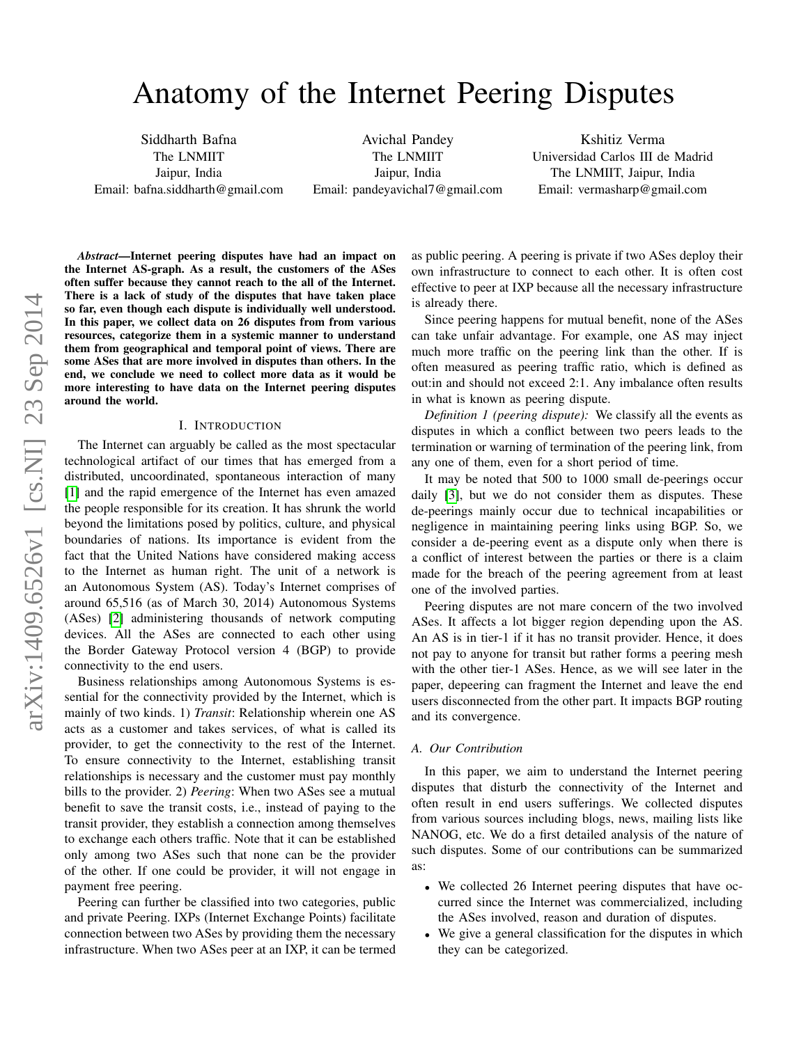# Anatomy of the Internet Peering Disputes

Siddharth Bafna The LNMIIT Jaipur, India Email: bafna.siddharth@gmail.com

Avichal Pandey The LNMIIT Jaipur, India Email: pandeyavichal7@gmail.com

Kshitiz Verma Universidad Carlos III de Madrid The LNMIIT, Jaipur, India Email: vermasharp@gmail.com

*Abstract*—Internet peering disputes have had an impact on the Internet AS-graph. As a result, the customers of the ASes often suffer because they cannot reach to the all of the Internet. There is a lack of study of the disputes that have taken place so far, even though each dispute is individually well understood. In this paper, we collect data on 26 disputes from from various resources, categorize them in a systemic manner to understand them from geographical and temporal point of views. There are some ASes that are more involved in disputes than others. In the end, we conclude we need to collect more data as it would be more interesting to have data on the Internet peering disputes around the world.

### I. INTRODUCTION

The Internet can arguably be called as the most spectacular technological artifact of our times that has emerged from a distributed, uncoordinated, spontaneous interaction of many [\[1\]](#page-5-0) and the rapid emergence of the Internet has even amazed the people responsible for its creation. It has shrunk the world beyond the limitations posed by politics, culture, and physical boundaries of nations. Its importance is evident from the fact that the United Nations have considered making access to the Internet as human right. The unit of a network is an Autonomous System (AS). Today's Internet comprises of around 65,516 (as of March 30, 2014) Autonomous Systems (ASes) [\[2\]](#page-5-1) administering thousands of network computing devices. All the ASes are connected to each other using the Border Gateway Protocol version 4 (BGP) to provide connectivity to the end users.

Business relationships among Autonomous Systems is essential for the connectivity provided by the Internet, which is mainly of two kinds. 1) *Transit*: Relationship wherein one AS acts as a customer and takes services, of what is called its provider, to get the connectivity to the rest of the Internet. To ensure connectivity to the Internet, establishing transit relationships is necessary and the customer must pay monthly bills to the provider. 2) *Peering*: When two ASes see a mutual benefit to save the transit costs, i.e., instead of paying to the transit provider, they establish a connection among themselves to exchange each others traffic. Note that it can be established only among two ASes such that none can be the provider of the other. If one could be provider, it will not engage in payment free peering.

Peering can further be classified into two categories, public and private Peering. IXPs (Internet Exchange Points) facilitate connection between two ASes by providing them the necessary infrastructure. When two ASes peer at an IXP, it can be termed as public peering. A peering is private if two ASes deploy their own infrastructure to connect to each other. It is often cost effective to peer at IXP because all the necessary infrastructure is already there.

Since peering happens for mutual benefit, none of the ASes can take unfair advantage. For example, one AS may inject much more traffic on the peering link than the other. If is often measured as peering traffic ratio, which is defined as out:in and should not exceed 2:1. Any imbalance often results in what is known as peering dispute.

*Definition 1 (peering dispute):* We classify all the events as disputes in which a conflict between two peers leads to the termination or warning of termination of the peering link, from any one of them, even for a short period of time.

It may be noted that 500 to 1000 small de-peerings occur daily [\[3\]](#page-5-2), but we do not consider them as disputes. These de-peerings mainly occur due to technical incapabilities or negligence in maintaining peering links using BGP. So, we consider a de-peering event as a dispute only when there is a conflict of interest between the parties or there is a claim made for the breach of the peering agreement from at least one of the involved parties.

Peering disputes are not mare concern of the two involved ASes. It affects a lot bigger region depending upon the AS. An AS is in tier-1 if it has no transit provider. Hence, it does not pay to anyone for transit but rather forms a peering mesh with the other tier-1 ASes. Hence, as we will see later in the paper, depeering can fragment the Internet and leave the end users disconnected from the other part. It impacts BGP routing and its convergence.

#### *A. Our Contribution*

In this paper, we aim to understand the Internet peering disputes that disturb the connectivity of the Internet and often result in end users sufferings. We collected disputes from various sources including blogs, news, mailing lists like NANOG, etc. We do a first detailed analysis of the nature of such disputes. Some of our contributions can be summarized as:

- We collected 26 Internet peering disputes that have occurred since the Internet was commercialized, including the ASes involved, reason and duration of disputes.
- We give a general classification for the disputes in which they can be categorized.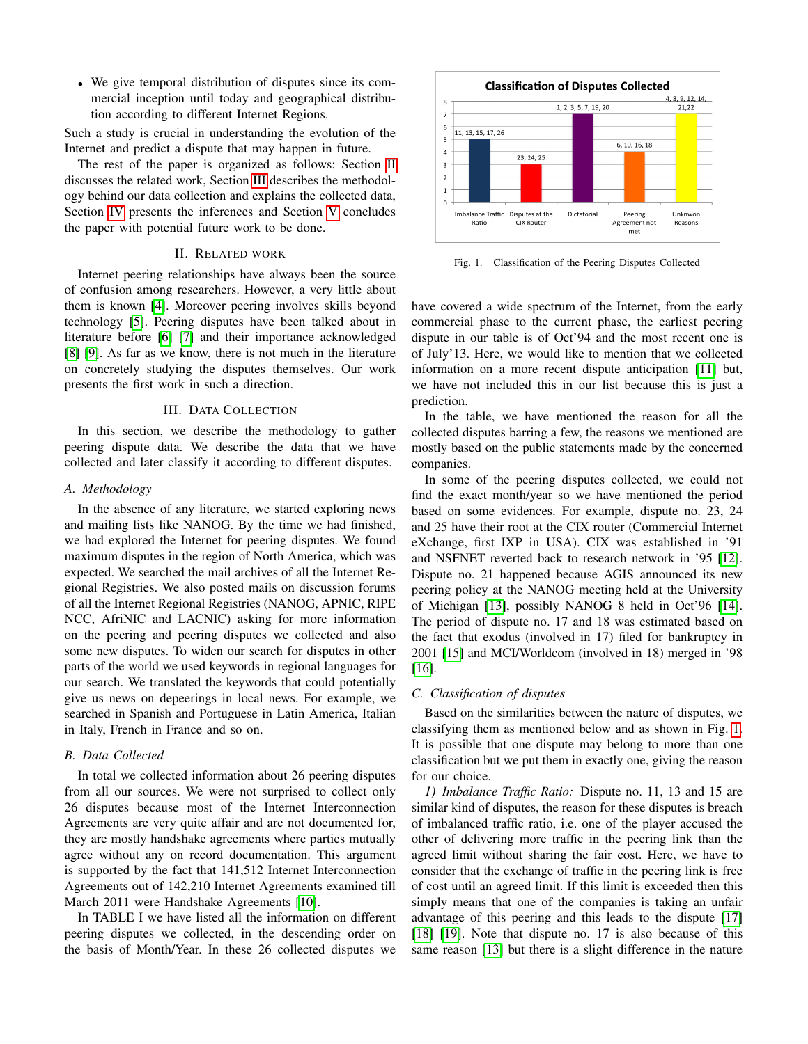• We give temporal distribution of disputes since its commercial inception until today and geographical distribution according to different Internet Regions.

Such a study is crucial in understanding the evolution of the Internet and predict a dispute that may happen in future.

The rest of the paper is organized as follows: Section [II](#page-1-0) discusses the related work, Section [III](#page-1-1) describes the methodology behind our data collection and explains the collected data, Section [IV](#page-3-0) presents the inferences and Section [V](#page-5-3) concludes the paper with potential future work to be done.

# II. RELATED WORK

<span id="page-1-0"></span>Internet peering relationships have always been the source of confusion among researchers. However, a very little about them is known [\[4\]](#page-5-4). Moreover peering involves skills beyond technology [\[5\]](#page-5-5). Peering disputes have been talked about in literature before [\[6\]](#page-5-6) [\[7\]](#page-5-7) and their importance acknowledged [\[8\]](#page-5-8) [\[9\]](#page-5-9). As far as we know, there is not much in the literature on concretely studying the disputes themselves. Our work presents the first work in such a direction.

#### III. DATA COLLECTION

<span id="page-1-1"></span>In this section, we describe the methodology to gather peering dispute data. We describe the data that we have collected and later classify it according to different disputes.

## *A. Methodology*

In the absence of any literature, we started exploring news and mailing lists like NANOG. By the time we had finished, we had explored the Internet for peering disputes. We found maximum disputes in the region of North America, which was expected. We searched the mail archives of all the Internet Regional Registries. We also posted mails on discussion forums of all the Internet Regional Registries (NANOG, APNIC, RIPE NCC, AfriNIC and LACNIC) asking for more information on the peering and peering disputes we collected and also some new disputes. To widen our search for disputes in other parts of the world we used keywords in regional languages for our search. We translated the keywords that could potentially give us news on depeerings in local news. For example, we searched in Spanish and Portuguese in Latin America, Italian in Italy, French in France and so on.

# *B. Data Collected*

In total we collected information about 26 peering disputes from all our sources. We were not surprised to collect only 26 disputes because most of the Internet Interconnection Agreements are very quite affair and are not documented for, they are mostly handshake agreements where parties mutually agree without any on record documentation. This argument is supported by the fact that 141,512 Internet Interconnection Agreements out of 142,210 Internet Agreements examined till March 2011 were Handshake Agreements [\[10\]](#page-5-10).

In TABLE I we have listed all the information on different peering disputes we collected, in the descending order on the basis of Month/Year. In these 26 collected disputes we



<span id="page-1-2"></span>Fig. 1. Classification of the Peering Disputes Collected

have covered a wide spectrum of the Internet, from the early commercial phase to the current phase, the earliest peering dispute in our table is of Oct'94 and the most recent one is of July'13. Here, we would like to mention that we collected information on a more recent dispute anticipation [\[11\]](#page-5-11) but, we have not included this in our list because this is just a prediction.

In the table, we have mentioned the reason for all the collected disputes barring a few, the reasons we mentioned are mostly based on the public statements made by the concerned companies.

In some of the peering disputes collected, we could not find the exact month/year so we have mentioned the period based on some evidences. For example, dispute no. 23, 24 and 25 have their root at the CIX router (Commercial Internet eXchange, first IXP in USA). CIX was established in '91 and NSFNET reverted back to research network in '95 [\[12\]](#page-5-12). Dispute no. 21 happened because AGIS announced its new peering policy at the NANOG meeting held at the University of Michigan [\[13\]](#page-5-13), possibly NANOG 8 held in Oct'96 [\[14\]](#page-5-14). The period of dispute no. 17 and 18 was estimated based on the fact that exodus (involved in 17) filed for bankruptcy in 2001 [\[15\]](#page-5-15) and MCI/Worldcom (involved in 18) merged in '98 [\[16\]](#page-5-16).

# *C. Classification of disputes*

Based on the similarities between the nature of disputes, we classifying them as mentioned below and as shown in Fig. [1.](#page-1-2) It is possible that one dispute may belong to more than one classification but we put them in exactly one, giving the reason for our choice.

*1) Imbalance Traffic Ratio:* Dispute no. 11, 13 and 15 are similar kind of disputes, the reason for these disputes is breach of imbalanced traffic ratio, i.e. one of the player accused the other of delivering more traffic in the peering link than the agreed limit without sharing the fair cost. Here, we have to consider that the exchange of traffic in the peering link is free of cost until an agreed limit. If this limit is exceeded then this simply means that one of the companies is taking an unfair advantage of this peering and this leads to the dispute [\[17\]](#page-5-17) [\[18\]](#page-5-18) [\[19\]](#page-5-19). Note that dispute no. 17 is also because of this same reason [\[13\]](#page-5-13) but there is a slight difference in the nature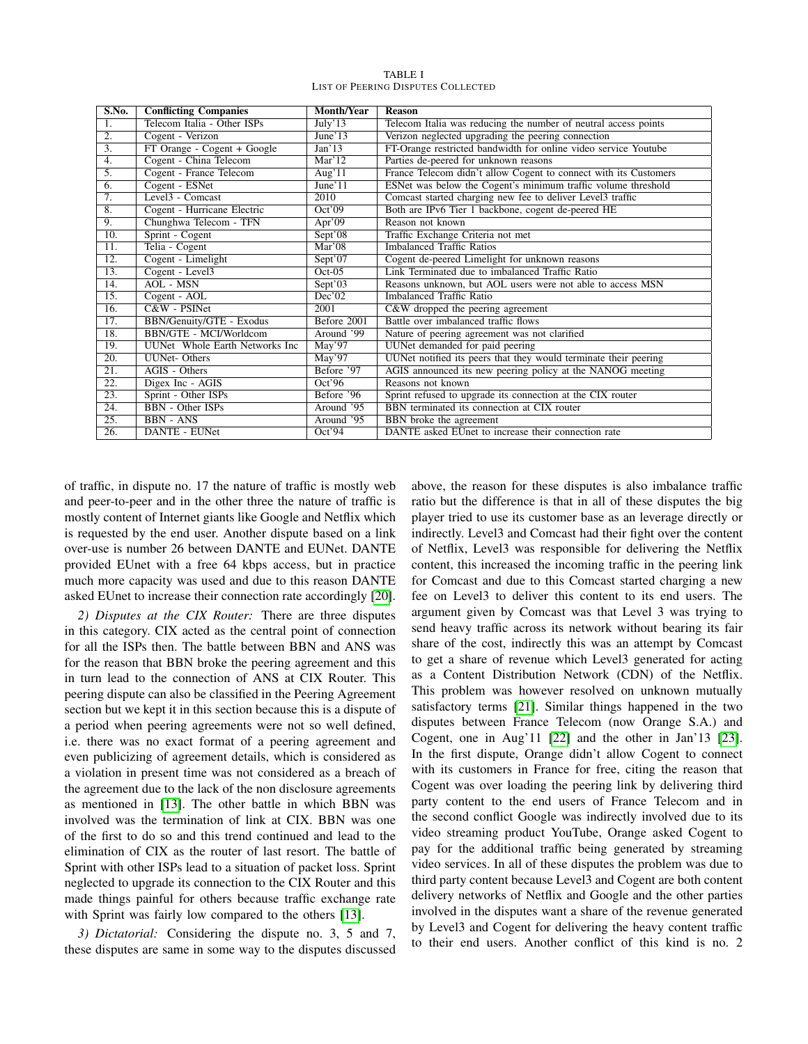| S.No.             | <b>Conflicting Companies</b>   | <b>Month/Year</b>   | <b>Reason</b>                                                    |
|-------------------|--------------------------------|---------------------|------------------------------------------------------------------|
| 1.                | Telecom Italia - Other ISPs    | July'13             | Telecom Italia was reducing the number of neutral access points  |
| $\overline{2}$ .  | Cogent - Verizon               | June' $13$          | Verizon neglected upgrading the peering connection               |
| $\overline{3}$ .  | FT Orange - Cogent + Google    | Jan'13              | FT-Orange restricted bandwidth for online video service Youtube  |
| $\overline{4}$ .  | Cogent - China Telecom         | Mar'12              | Parties de-peered for unknown reasons                            |
| $\overline{5}$ .  | Cogent - France Telecom        | Aug'11              | France Telecom didn't allow Cogent to connect with its Customers |
| 6.                | Cogent - ESNet                 | June'11             | ESNet was below the Cogent's minimum traffic volume threshold    |
| $\overline{7}$ .  | Level <sub>3</sub> - Comcast   | 2010                | Comcast started charging new fee to deliver Level3 traffic       |
| 8.                | Cogent - Hurricane Electric    | Oct'09              | Both are IPv6 Tier 1 backbone, cogent de-peered HE               |
| 9.                | Chunghwa Telecom - TFN         | Apr'09              | Reason not known                                                 |
| 10.               | Sprint - Cogent                | Sept'08             | Traffic Exchange Criteria not met                                |
| $\overline{11}$ . | Telia - Cogent                 | Mar'08              | <b>Imbalanced Traffic Ratios</b>                                 |
| 12.               | Cogent - Limelight             | Sept'07             | Cogent de-peered Limelight for unknown reasons                   |
| 13.               | Cogent - Level3                | $Oct-05$            | Link Terminated due to imbalanced Traffic Ratio                  |
| 14.               | <b>AOL</b> - MSN               | Sept'03             | Reasons unknown, but AOL users were not able to access MSN       |
| 15.               | Cogent - AOL                   | Dec'02              | <b>Imbalanced Traffic Ratio</b>                                  |
| 16.               | C&W - PSINet                   | 2001                | C&W dropped the peering agreement                                |
| 17.               | BBN/Genuity/GTE - Exodus       | Before 2001         | Battle over imbalanced traffic flows                             |
| 18.               | <b>BBN/GTE - MCI/Worldcom</b>  | Around '99          | Nature of peering agreement was not clarified                    |
| 19.               | UUNet Whole Earth Networks Inc | $\text{Mav}^3$ ?    | UUNet demanded for paid peering                                  |
| 20.               | <b>UUNet-Others</b>            | May'97              | UUNet notified its peers that they would terminate their peering |
| 21.               | AGIS - Others                  | Before '97          | AGIS announced its new peering policy at the NANOG meeting       |
| $\overline{22}$ . | Digex Inc - AGIS               | Oct <sup>2</sup> 96 | Reasons not known                                                |
| $\overline{23}$ . | Sprint - Other ISPs            | Before '96          | Sprint refused to upgrade its connection at the CIX router       |
| 24.               | <b>BBN</b> - Other ISPs        | Around '95          | BBN terminated its connection at CIX router                      |
| $\overline{25}$ . | <b>BBN</b> - ANS               | Around '95          | <b>BBN</b> broke the agreement                                   |
| $\overline{26}$ . | DANTE - EUNet                  | Oct <sup>2</sup> 94 | DANTE asked EUnet to increase their connection rate              |

TABLE I LIST OF PEERING DISPUTES COLLECTED

of traffic, in dispute no. 17 the nature of traffic is mostly web and peer-to-peer and in the other three the nature of traffic is mostly content of Internet giants like Google and Netflix which is requested by the end user. Another dispute based on a link over-use is number 26 between DANTE and EUNet. DANTE provided EUnet with a free 64 kbps access, but in practice much more capacity was used and due to this reason DANTE asked EUnet to increase their connection rate accordingly [\[20\]](#page-5-20).

*2) Disputes at the CIX Router:* There are three disputes in this category. CIX acted as the central point of connection for all the ISPs then. The battle between BBN and ANS was for the reason that BBN broke the peering agreement and this in turn lead to the connection of ANS at CIX Router. This peering dispute can also be classified in the Peering Agreement section but we kept it in this section because this is a dispute of a period when peering agreements were not so well defined, i.e. there was no exact format of a peering agreement and even publicizing of agreement details, which is considered as a violation in present time was not considered as a breach of the agreement due to the lack of the non disclosure agreements as mentioned in [\[13\]](#page-5-13). The other battle in which BBN was involved was the termination of link at CIX. BBN was one of the first to do so and this trend continued and lead to the elimination of CIX as the router of last resort. The battle of Sprint with other ISPs lead to a situation of packet loss. Sprint neglected to upgrade its connection to the CIX Router and this made things painful for others because traffic exchange rate with Sprint was fairly low compared to the others [\[13\]](#page-5-13).

*3) Dictatorial:* Considering the dispute no. 3, 5 and 7, these disputes are same in some way to the disputes discussed above, the reason for these disputes is also imbalance traffic ratio but the difference is that in all of these disputes the big player tried to use its customer base as an leverage directly or indirectly. Level3 and Comcast had their fight over the content of Netflix, Level3 was responsible for delivering the Netflix content, this increased the incoming traffic in the peering link for Comcast and due to this Comcast started charging a new fee on Level3 to deliver this content to its end users. The argument given by Comcast was that Level 3 was trying to send heavy traffic across its network without bearing its fair share of the cost, indirectly this was an attempt by Comcast to get a share of revenue which Level3 generated for acting as a Content Distribution Network (CDN) of the Netflix. This problem was however resolved on unknown mutually satisfactory terms [\[21\]](#page-5-21). Similar things happened in the two disputes between France Telecom (now Orange S.A.) and Cogent, one in Aug'11 [\[22\]](#page-5-22) and the other in Jan'13 [\[23\]](#page-5-23). In the first dispute, Orange didn't allow Cogent to connect with its customers in France for free, citing the reason that Cogent was over loading the peering link by delivering third party content to the end users of France Telecom and in the second conflict Google was indirectly involved due to its video streaming product YouTube, Orange asked Cogent to pay for the additional traffic being generated by streaming video services. In all of these disputes the problem was due to third party content because Level3 and Cogent are both content delivery networks of Netflix and Google and the other parties involved in the disputes want a share of the revenue generated by Level3 and Cogent for delivering the heavy content traffic to their end users. Another conflict of this kind is no. 2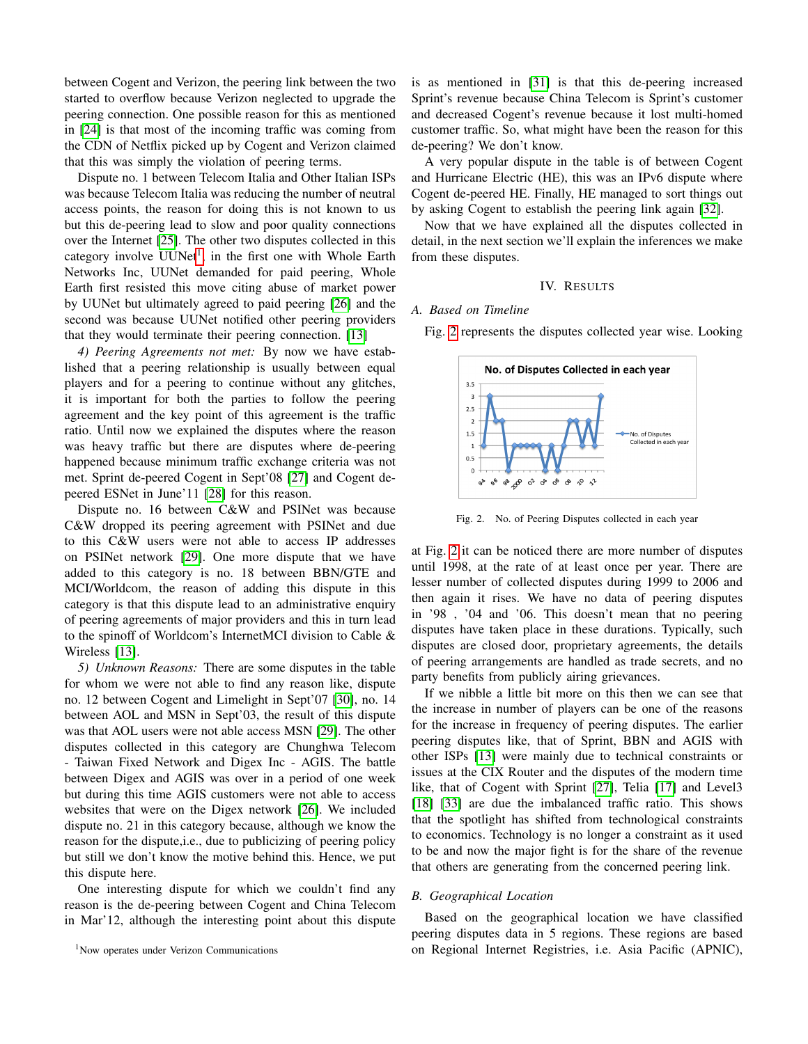between Cogent and Verizon, the peering link between the two started to overflow because Verizon neglected to upgrade the peering connection. One possible reason for this as mentioned in [\[24\]](#page-5-24) is that most of the incoming traffic was coming from the CDN of Netflix picked up by Cogent and Verizon claimed that this was simply the violation of peering terms.

Dispute no. 1 between Telecom Italia and Other Italian ISPs was because Telecom Italia was reducing the number of neutral access points, the reason for doing this is not known to us but this de-peering lead to slow and poor quality connections over the Internet [\[25\]](#page-5-25). The other two disputes collected in this category involve UUNet<sup>[1](#page-3-1)</sup>, in the first one with Whole Earth Networks Inc, UUNet demanded for paid peering, Whole Earth first resisted this move citing abuse of market power by UUNet but ultimately agreed to paid peering [\[26\]](#page-5-26) and the second was because UUNet notified other peering providers that they would terminate their peering connection. [\[13\]](#page-5-13)

*4) Peering Agreements not met:* By now we have established that a peering relationship is usually between equal players and for a peering to continue without any glitches, it is important for both the parties to follow the peering agreement and the key point of this agreement is the traffic ratio. Until now we explained the disputes where the reason was heavy traffic but there are disputes where de-peering happened because minimum traffic exchange criteria was not met. Sprint de-peered Cogent in Sept'08 [\[27\]](#page-5-27) and Cogent depeered ESNet in June'11 [\[28\]](#page-5-28) for this reason.

Dispute no. 16 between C&W and PSINet was because C&W dropped its peering agreement with PSINet and due to this C&W users were not able to access IP addresses on PSINet network [\[29\]](#page-5-29). One more dispute that we have added to this category is no. 18 between BBN/GTE and MCI/Worldcom, the reason of adding this dispute in this category is that this dispute lead to an administrative enquiry of peering agreements of major providers and this in turn lead to the spinoff of Worldcom's InternetMCI division to Cable & Wireless [\[13\]](#page-5-13).

*5) Unknown Reasons:* There are some disputes in the table for whom we were not able to find any reason like, dispute no. 12 between Cogent and Limelight in Sept'07 [\[30\]](#page-5-30), no. 14 between AOL and MSN in Sept'03, the result of this dispute was that AOL users were not able access MSN [\[29\]](#page-5-29). The other disputes collected in this category are Chunghwa Telecom - Taiwan Fixed Network and Digex Inc - AGIS. The battle between Digex and AGIS was over in a period of one week but during this time AGIS customers were not able to access websites that were on the Digex network [\[26\]](#page-5-26). We included dispute no. 21 in this category because, although we know the reason for the dispute,i.e., due to publicizing of peering policy but still we don't know the motive behind this. Hence, we put this dispute here.

One interesting dispute for which we couldn't find any reason is the de-peering between Cogent and China Telecom in Mar'12, although the interesting point about this dispute

<span id="page-3-1"></span><sup>1</sup>Now operates under Verizon Communications

is as mentioned in [\[31\]](#page-5-31) is that this de-peering increased Sprint's revenue because China Telecom is Sprint's customer and decreased Cogent's revenue because it lost multi-homed customer traffic. So, what might have been the reason for this de-peering? We don't know.

A very popular dispute in the table is of between Cogent and Hurricane Electric (HE), this was an IPv6 dispute where Cogent de-peered HE. Finally, HE managed to sort things out by asking Cogent to establish the peering link again [\[32\]](#page-5-32).

Now that we have explained all the disputes collected in detail, in the next section we'll explain the inferences we make from these disputes.

#### IV. RESULTS

# <span id="page-3-0"></span>*A. Based on Timeline*

Fig. [2](#page-3-2) represents the disputes collected year wise. Looking



<span id="page-3-2"></span>Fig. 2. No. of Peering Disputes collected in each year

at Fig. [2](#page-3-2) it can be noticed there are more number of disputes until 1998, at the rate of at least once per year. There are lesser number of collected disputes during 1999 to 2006 and then again it rises. We have no data of peering disputes in '98 , '04 and '06. This doesn't mean that no peering disputes have taken place in these durations. Typically, such disputes are closed door, proprietary agreements, the details of peering arrangements are handled as trade secrets, and no party benefits from publicly airing grievances.

If we nibble a little bit more on this then we can see that the increase in number of players can be one of the reasons for the increase in frequency of peering disputes. The earlier peering disputes like, that of Sprint, BBN and AGIS with other ISPs [\[13\]](#page-5-13) were mainly due to technical constraints or issues at the CIX Router and the disputes of the modern time like, that of Cogent with Sprint [\[27\]](#page-5-27), Telia [\[17\]](#page-5-17) and Level3 [\[18\]](#page-5-18) [\[33\]](#page-5-33) are due the imbalanced traffic ratio. This shows that the spotlight has shifted from technological constraints to economics. Technology is no longer a constraint as it used to be and now the major fight is for the share of the revenue that others are generating from the concerned peering link.

## *B. Geographical Location*

Based on the geographical location we have classified peering disputes data in 5 regions. These regions are based on Regional Internet Registries, i.e. Asia Pacific (APNIC),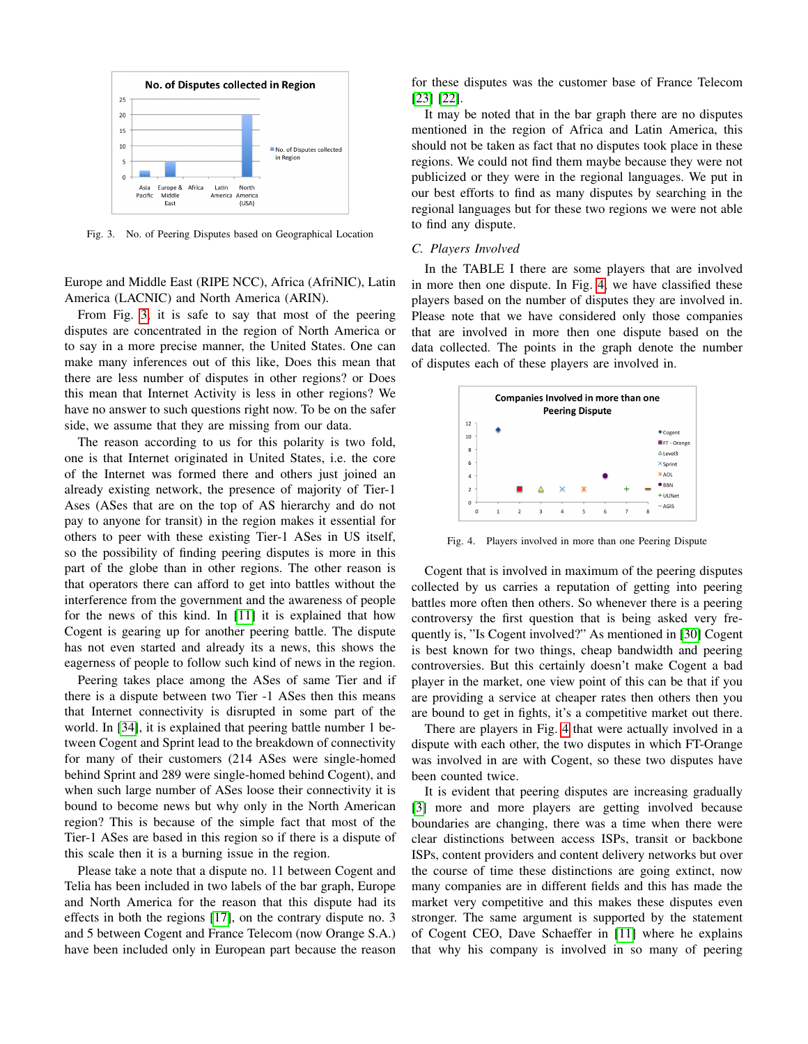

<span id="page-4-0"></span>Fig. 3. No. of Peering Disputes based on Geographical Location

Europe and Middle East (RIPE NCC), Africa (AfriNIC), Latin America (LACNIC) and North America (ARIN).

From Fig. [3,](#page-4-0) it is safe to say that most of the peering disputes are concentrated in the region of North America or to say in a more precise manner, the United States. One can make many inferences out of this like, Does this mean that there are less number of disputes in other regions? or Does this mean that Internet Activity is less in other regions? We have no answer to such questions right now. To be on the safer side, we assume that they are missing from our data.

The reason according to us for this polarity is two fold, one is that Internet originated in United States, i.e. the core of the Internet was formed there and others just joined an already existing network, the presence of majority of Tier-1 Ases (ASes that are on the top of AS hierarchy and do not pay to anyone for transit) in the region makes it essential for others to peer with these existing Tier-1 ASes in US itself, so the possibility of finding peering disputes is more in this part of the globe than in other regions. The other reason is that operators there can afford to get into battles without the interference from the government and the awareness of people for the news of this kind. In [\[11\]](#page-5-11) it is explained that how Cogent is gearing up for another peering battle. The dispute has not even started and already its a news, this shows the eagerness of people to follow such kind of news in the region.

Peering takes place among the ASes of same Tier and if there is a dispute between two Tier -1 ASes then this means that Internet connectivity is disrupted in some part of the world. In [\[34\]](#page-5-34), it is explained that peering battle number 1 between Cogent and Sprint lead to the breakdown of connectivity for many of their customers (214 ASes were single-homed behind Sprint and 289 were single-homed behind Cogent), and when such large number of ASes loose their connectivity it is bound to become news but why only in the North American region? This is because of the simple fact that most of the Tier-1 ASes are based in this region so if there is a dispute of this scale then it is a burning issue in the region.

Please take a note that a dispute no. 11 between Cogent and Telia has been included in two labels of the bar graph, Europe and North America for the reason that this dispute had its effects in both the regions [\[17\]](#page-5-17), on the contrary dispute no. 3 and 5 between Cogent and France Telecom (now Orange S.A.) have been included only in European part because the reason

for these disputes was the customer base of France Telecom [\[23\]](#page-5-23) [\[22\]](#page-5-22).

It may be noted that in the bar graph there are no disputes mentioned in the region of Africa and Latin America, this should not be taken as fact that no disputes took place in these regions. We could not find them maybe because they were not publicized or they were in the regional languages. We put in our best efforts to find as many disputes by searching in the regional languages but for these two regions we were not able to find any dispute.

## *C. Players Involved*

In the TABLE I there are some players that are involved in more then one dispute. In Fig. [4,](#page-4-1) we have classified these players based on the number of disputes they are involved in. Please note that we have considered only those companies that are involved in more then one dispute based on the data collected. The points in the graph denote the number of disputes each of these players are involved in.



<span id="page-4-1"></span>Fig. 4. Players involved in more than one Peering Dispute

Cogent that is involved in maximum of the peering disputes collected by us carries a reputation of getting into peering battles more often then others. So whenever there is a peering controversy the first question that is being asked very frequently is, "Is Cogent involved?" As mentioned in [\[30\]](#page-5-30) Cogent is best known for two things, cheap bandwidth and peering controversies. But this certainly doesn't make Cogent a bad player in the market, one view point of this can be that if you are providing a service at cheaper rates then others then you are bound to get in fights, it's a competitive market out there.

There are players in Fig. [4](#page-4-1) that were actually involved in a dispute with each other, the two disputes in which FT-Orange was involved in are with Cogent, so these two disputes have been counted twice.

It is evident that peering disputes are increasing gradually [\[3\]](#page-5-2) more and more players are getting involved because boundaries are changing, there was a time when there were clear distinctions between access ISPs, transit or backbone ISPs, content providers and content delivery networks but over the course of time these distinctions are going extinct, now many companies are in different fields and this has made the market very competitive and this makes these disputes even stronger. The same argument is supported by the statement of Cogent CEO, Dave Schaeffer in [\[11\]](#page-5-11) where he explains that why his company is involved in so many of peering